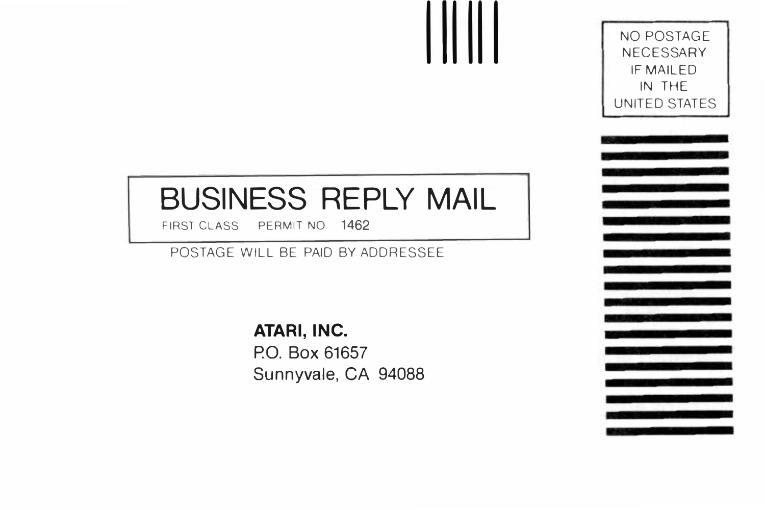## **BUSINESS REPLY MAIL**

**111111** 

FIRST CLASS PERMIT NO 1462

POSTAGE WILL BE PAID BY ADDRESSEE

**ATARI, INC. P.O. Box 61657 Sunnyvale, CA 94088**